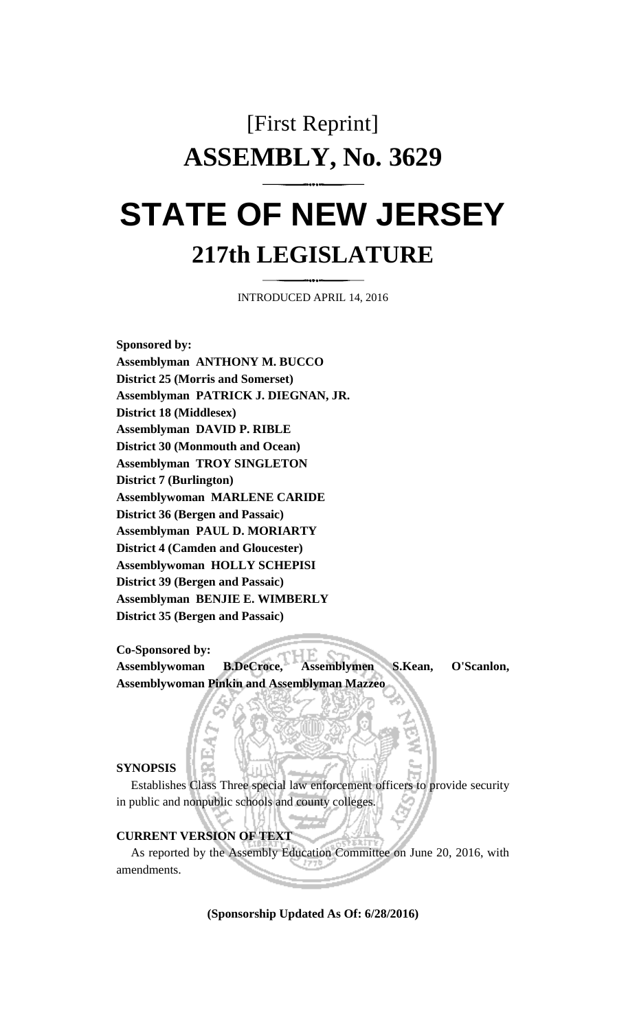# [First Reprint] **ASSEMBLY, No. 3629 STATE OF NEW JERSEY**

# **217th LEGISLATURE**

INTRODUCED APRIL 14, 2016

**Sponsored by: Assemblyman ANTHONY M. BUCCO District 25 (Morris and Somerset) Assemblyman PATRICK J. DIEGNAN, JR. District 18 (Middlesex) Assemblyman DAVID P. RIBLE District 30 (Monmouth and Ocean) Assemblyman TROY SINGLETON District 7 (Burlington) Assemblywoman MARLENE CARIDE District 36 (Bergen and Passaic) Assemblyman PAUL D. MORIARTY District 4 (Camden and Gloucester) Assemblywoman HOLLY SCHEPISI District 39 (Bergen and Passaic) Assemblyman BENJIE E. WIMBERLY District 35 (Bergen and Passaic)**

**Co-Sponsored by:**

**Assemblywoman B.DeCroce, Assemblymen S.Kean, O'Scanlon, Assemblywoman Pinkin and Assemblyman Mazzeo**

#### **SYNOPSIS**

Establishes Class Three special law enforcement officers to provide security in public and nonpublic schools and county colleges.

### **CURRENT VERSION OF TEXT**

As reported by the Assembly Education Committee on June 20, 2016, with amendments.

**(Sponsorship Updated As Of: 6/28/2016)**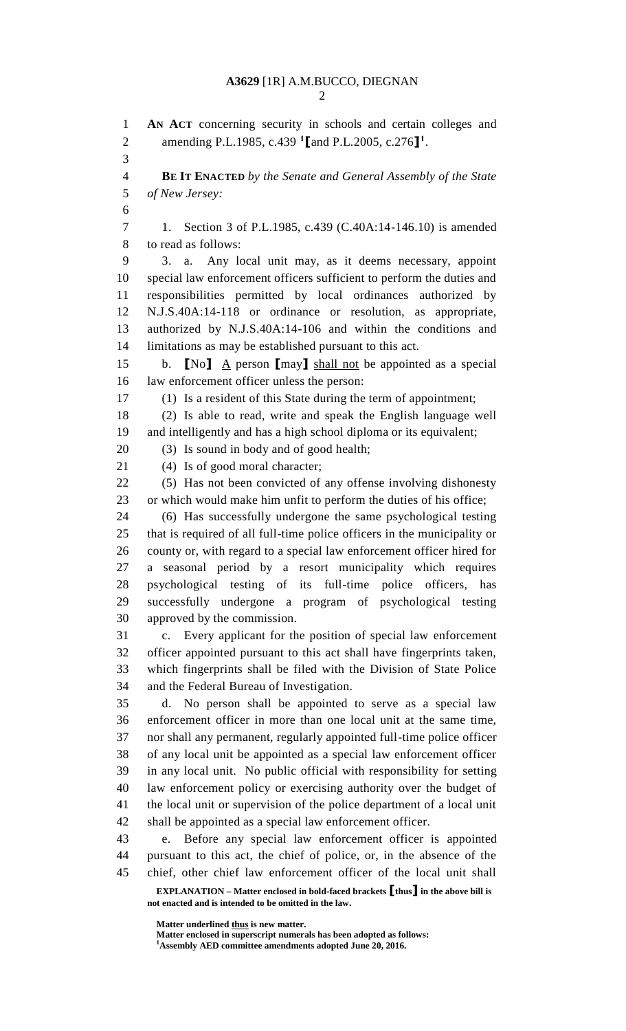**EXPLANATION – Matter enclosed in bold-faced brackets [thus] in the above bill is not enacted and is intended to be omitted in the law. AN ACT** concerning security in schools and certain colleges and amending P.L.1985, c.439 **<sup>1</sup> [**and P.L.2005, c.276**] 1** . **BE IT ENACTED** *by the Senate and General Assembly of the State of New Jersey:* 1. Section 3 of P.L.1985, c.439 (C.40A:14-146.10) is amended to read as follows: 3. a. Any local unit may, as it deems necessary, appoint special law enforcement officers sufficient to perform the duties and responsibilities permitted by local ordinances authorized by N.J.S.40A:14-118 or ordinance or resolution, as appropriate, authorized by N.J.S.40A:14-106 and within the conditions and limitations as may be established pursuant to this act. b. **[**No**]** A person **[**may**]** shall not be appointed as a special law enforcement officer unless the person: (1) Is a resident of this State during the term of appointment; (2) Is able to read, write and speak the English language well and intelligently and has a high school diploma or its equivalent; (3) Is sound in body and of good health; 21 (4) Is of good moral character; (5) Has not been convicted of any offense involving dishonesty or which would make him unfit to perform the duties of his office; (6) Has successfully undergone the same psychological testing that is required of all full-time police officers in the municipality or county or, with regard to a special law enforcement officer hired for a seasonal period by a resort municipality which requires psychological testing of its full-time police officers, has successfully undergone a program of psychological testing approved by the commission. c. Every applicant for the position of special law enforcement officer appointed pursuant to this act shall have fingerprints taken, which fingerprints shall be filed with the Division of State Police and the Federal Bureau of Investigation. d. No person shall be appointed to serve as a special law enforcement officer in more than one local unit at the same time, nor shall any permanent, regularly appointed full-time police officer of any local unit be appointed as a special law enforcement officer in any local unit. No public official with responsibility for setting law enforcement policy or exercising authority over the budget of the local unit or supervision of the police department of a local unit shall be appointed as a special law enforcement officer. e. Before any special law enforcement officer is appointed pursuant to this act, the chief of police, or, in the absence of the chief, other chief law enforcement officer of the local unit shall

**Matter underlined thus is new matter.**

**Matter enclosed in superscript numerals has been adopted as follows: Assembly AED committee amendments adopted June 20, 2016.**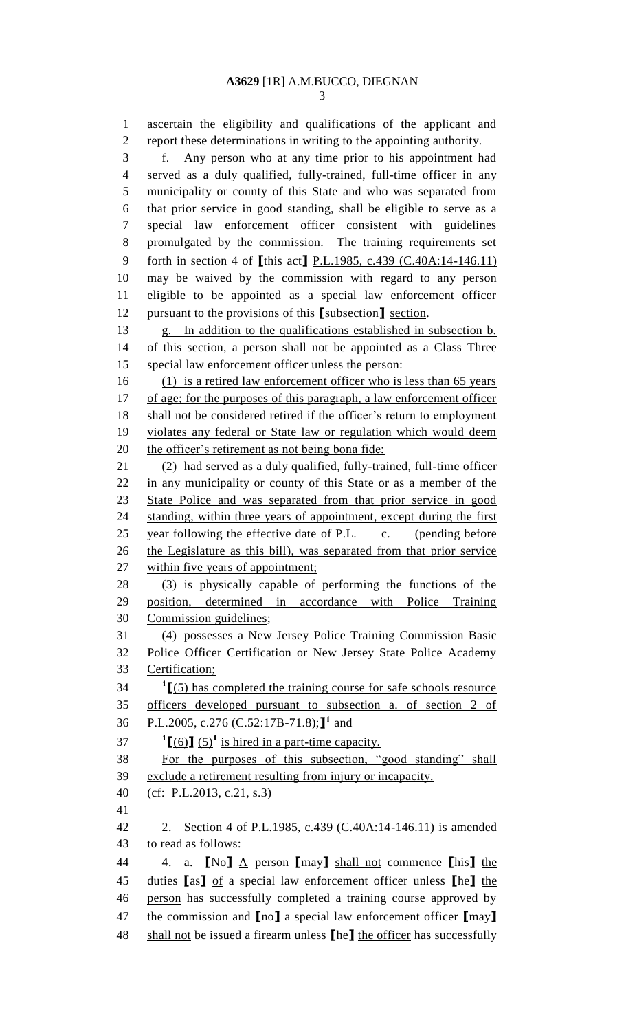ascertain the eligibility and qualifications of the applicant and report these determinations in writing to the appointing authority. f. Any person who at any time prior to his appointment had served as a duly qualified, fully-trained, full-time officer in any municipality or county of this State and who was separated from that prior service in good standing, shall be eligible to serve as a special law enforcement officer consistent with guidelines promulgated by the commission. The training requirements set forth in section 4 of **[**this act**]** P.L.1985, c.439 (C.40A:14-146.11) may be waived by the commission with regard to any person eligible to be appointed as a special law enforcement officer pursuant to the provisions of this **[**subsection**]** section. g. In addition to the qualifications established in subsection b. of this section, a person shall not be appointed as a Class Three special law enforcement officer unless the person: (1) is a retired law enforcement officer who is less than 65 years 17 of age; for the purposes of this paragraph, a law enforcement officer shall not be considered retired if the officer's return to employment violates any federal or State law or regulation which would deem 20 the officer's retirement as not being bona fide; (2) had served as a duly qualified, fully-trained, full-time officer in any municipality or county of this State or as a member of the State Police and was separated from that prior service in good standing, within three years of appointment, except during the first 25 year following the effective date of P.L. c. (pending before the Legislature as this bill), was separated from that prior service 27 within five years of appointment; (3) is physically capable of performing the functions of the position, determined in accordance with Police Training Commission guidelines; (4) possesses a New Jersey Police Training Commission Basic Police Officer Certification or New Jersey State Police Academy Certification; **[**(5) has completed the training course for safe schools resource officers developed pursuant to subsection a. of section 2 of 36 P.L.2005, c.276 (C.52:17B-71.8);<sup>1</sup> and  $\textbf{1}$   $\textbf{[}(\textbf{6})$   $\textbf{[}(\textbf{5})^1$  is hired in a part-time capacity. For the purposes of this subsection, "good standing" shall exclude a retirement resulting from injury or incapacity. (cf: P.L.2013, c.21, s.3) 2. Section 4 of P.L.1985, c.439 (C.40A:14-146.11) is amended to read as follows: 4. a. **[**No**]** A person **[**may**]** shall not commence **[**his**]** the duties **[**as**]** of a special law enforcement officer unless **[**he**]** the person has successfully completed a training course approved by the commission and **[**no**]** a special law enforcement officer **[**may**]** shall not be issued a firearm unless **[**he**]** the officer has successfully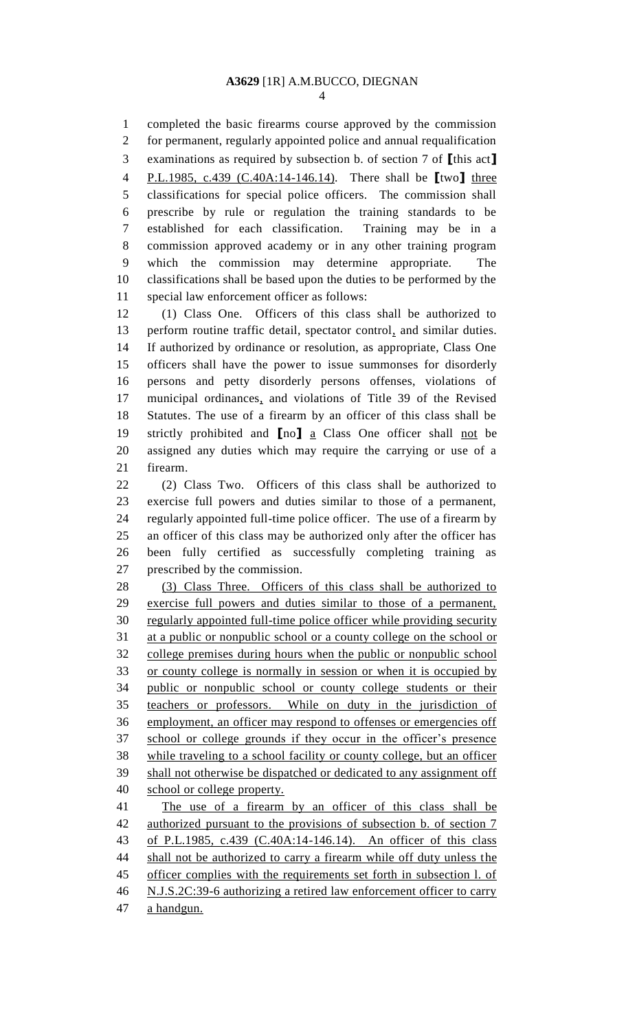completed the basic firearms course approved by the commission for permanent, regularly appointed police and annual requalification examinations as required by subsection b. of section 7 of **[**this act**]** P.L.1985, c.439 (C.40A:14-146.14). There shall be **[**two**]** three classifications for special police officers. The commission shall prescribe by rule or regulation the training standards to be established for each classification. Training may be in a commission approved academy or in any other training program which the commission may determine appropriate. The classifications shall be based upon the duties to be performed by the special law enforcement officer as follows: (1) Class One. Officers of this class shall be authorized to

13 perform routine traffic detail, spectator control, and similar duties. If authorized by ordinance or resolution, as appropriate, Class One officers shall have the power to issue summonses for disorderly persons and petty disorderly persons offenses, violations of municipal ordinances, and violations of Title 39 of the Revised Statutes. The use of a firearm by an officer of this class shall be strictly prohibited and **[**no**]** a Class One officer shall not be assigned any duties which may require the carrying or use of a firearm.

 (2) Class Two. Officers of this class shall be authorized to exercise full powers and duties similar to those of a permanent, regularly appointed full-time police officer. The use of a firearm by an officer of this class may be authorized only after the officer has been fully certified as successfully completing training as prescribed by the commission.

 (3) Class Three. Officers of this class shall be authorized to exercise full powers and duties similar to those of a permanent, regularly appointed full-time police officer while providing security at a public or nonpublic school or a county college on the school or college premises during hours when the public or nonpublic school or county college is normally in session or when it is occupied by public or nonpublic school or county college students or their teachers or professors. While on duty in the jurisdiction of employment, an officer may respond to offenses or emergencies off school or college grounds if they occur in the officer's presence while traveling to a school facility or county college, but an officer shall not otherwise be dispatched or dedicated to any assignment off school or college property.

 The use of a firearm by an officer of this class shall be authorized pursuant to the provisions of subsection b. of section 7 of P.L.1985, c.439 (C.40A:14-146.14). An officer of this class 44 shall not be authorized to carry a firearm while off duty unless the 45 officer complies with the requirements set forth in subsection 1. of N.J.S.2C:39-6 authorizing a retired law enforcement officer to carry a handgun.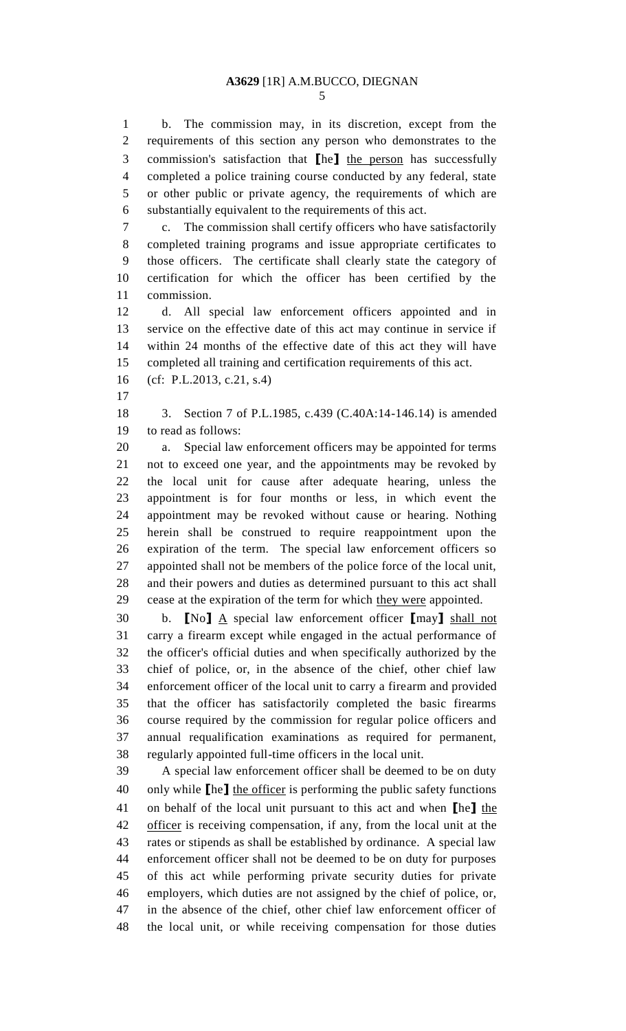b. The commission may, in its discretion, except from the requirements of this section any person who demonstrates to the commission's satisfaction that **[**he**]** the person has successfully completed a police training course conducted by any federal, state or other public or private agency, the requirements of which are substantially equivalent to the requirements of this act.

 c. The commission shall certify officers who have satisfactorily completed training programs and issue appropriate certificates to those officers. The certificate shall clearly state the category of certification for which the officer has been certified by the commission.

 d. All special law enforcement officers appointed and in service on the effective date of this act may continue in service if within 24 months of the effective date of this act they will have completed all training and certification requirements of this act.

- (cf: P.L.2013, c.21, s.4)
- 

 3. Section 7 of P.L.1985, c.439 (C.40A:14-146.14) is amended to read as follows:

 a. Special law enforcement officers may be appointed for terms not to exceed one year, and the appointments may be revoked by the local unit for cause after adequate hearing, unless the appointment is for four months or less, in which event the appointment may be revoked without cause or hearing. Nothing herein shall be construed to require reappointment upon the expiration of the term. The special law enforcement officers so appointed shall not be members of the police force of the local unit, and their powers and duties as determined pursuant to this act shall 29 cease at the expiration of the term for which they were appointed.

 b. **[**No**]** A special law enforcement officer **[**may**]** shall not carry a firearm except while engaged in the actual performance of the officer's official duties and when specifically authorized by the chief of police, or, in the absence of the chief, other chief law enforcement officer of the local unit to carry a firearm and provided that the officer has satisfactorily completed the basic firearms course required by the commission for regular police officers and annual requalification examinations as required for permanent, regularly appointed full-time officers in the local unit.

 A special law enforcement officer shall be deemed to be on duty only while **[**he**]** the officer is performing the public safety functions on behalf of the local unit pursuant to this act and when **[**he**]** the officer is receiving compensation, if any, from the local unit at the rates or stipends as shall be established by ordinance. A special law enforcement officer shall not be deemed to be on duty for purposes of this act while performing private security duties for private employers, which duties are not assigned by the chief of police, or, in the absence of the chief, other chief law enforcement officer of the local unit, or while receiving compensation for those duties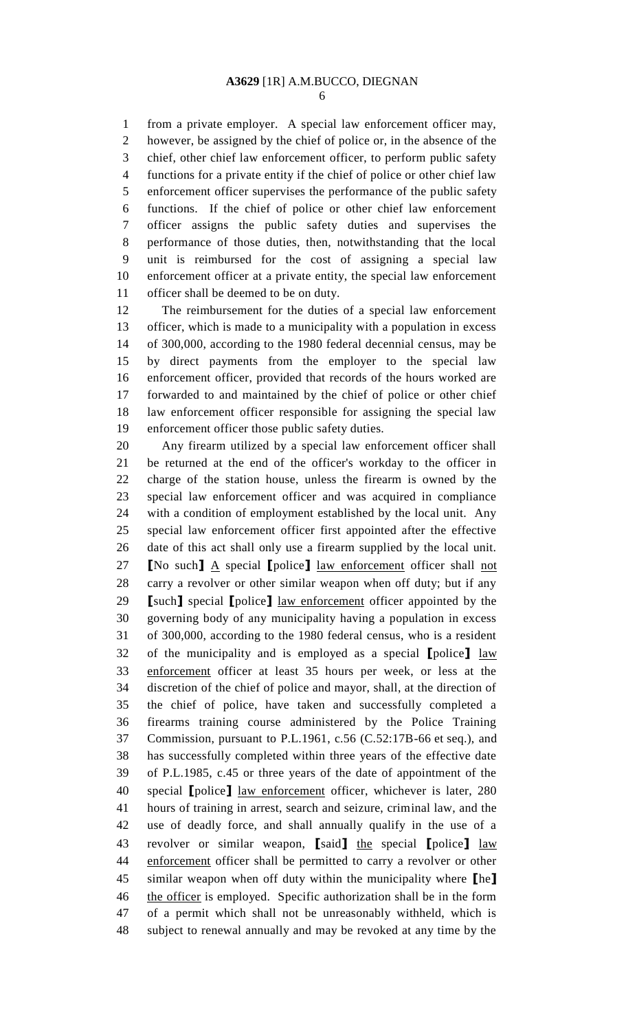from a private employer. A special law enforcement officer may, however, be assigned by the chief of police or, in the absence of the chief, other chief law enforcement officer, to perform public safety functions for a private entity if the chief of police or other chief law enforcement officer supervises the performance of the public safety functions. If the chief of police or other chief law enforcement officer assigns the public safety duties and supervises the performance of those duties, then, notwithstanding that the local unit is reimbursed for the cost of assigning a special law enforcement officer at a private entity, the special law enforcement officer shall be deemed to be on duty.

 The reimbursement for the duties of a special law enforcement officer, which is made to a municipality with a population in excess of 300,000, according to the 1980 federal decennial census, may be by direct payments from the employer to the special law enforcement officer, provided that records of the hours worked are forwarded to and maintained by the chief of police or other chief law enforcement officer responsible for assigning the special law enforcement officer those public safety duties.

 Any firearm utilized by a special law enforcement officer shall be returned at the end of the officer's workday to the officer in charge of the station house, unless the firearm is owned by the special law enforcement officer and was acquired in compliance with a condition of employment established by the local unit. Any special law enforcement officer first appointed after the effective date of this act shall only use a firearm supplied by the local unit. **[**No such**]** A special **[**police**]** law enforcement officer shall not carry a revolver or other similar weapon when off duty; but if any **[**such**]** special **[**police**]** law enforcement officer appointed by the governing body of any municipality having a population in excess of 300,000, according to the 1980 federal census, who is a resident of the municipality and is employed as a special **[**police**]** law enforcement officer at least 35 hours per week, or less at the discretion of the chief of police and mayor, shall, at the direction of the chief of police, have taken and successfully completed a firearms training course administered by the Police Training Commission, pursuant to P.L.1961, c.56 (C.52:17B-66 et seq.), and has successfully completed within three years of the effective date of P.L.1985, c.45 or three years of the date of appointment of the special **[**police**]** law enforcement officer, whichever is later, 280 hours of training in arrest, search and seizure, criminal law, and the use of deadly force, and shall annually qualify in the use of a revolver or similar weapon, **[**said**]** the special **[**police**]** law enforcement officer shall be permitted to carry a revolver or other similar weapon when off duty within the municipality where **[**he**]** the officer is employed. Specific authorization shall be in the form of a permit which shall not be unreasonably withheld, which is subject to renewal annually and may be revoked at any time by the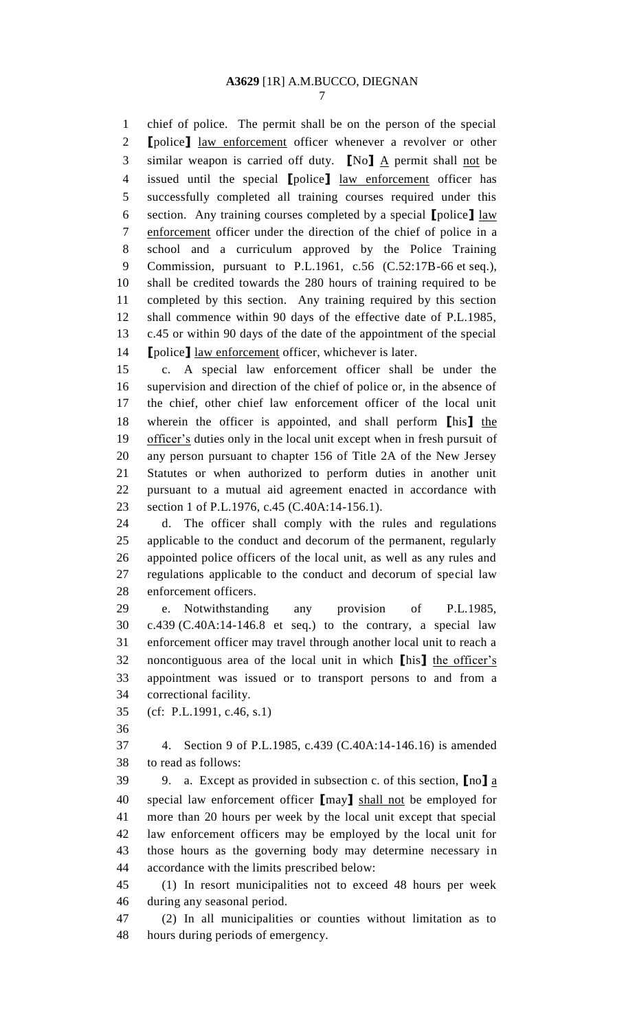chief of police. The permit shall be on the person of the special **[**police**]** law enforcement officer whenever a revolver or other similar weapon is carried off duty. **[**No**]** A permit shall not be issued until the special **[**police**]** law enforcement officer has successfully completed all training courses required under this section. Any training courses completed by a special **[**police**]** law enforcement officer under the direction of the chief of police in a school and a curriculum approved by the Police Training Commission, pursuant to P.L.1961, c.56 (C.52:17B-66 et seq.), shall be credited towards the 280 hours of training required to be completed by this section. Any training required by this section shall commence within 90 days of the effective date of P.L.1985, c.45 or within 90 days of the date of the appointment of the special **[**police**]** law enforcement officer, whichever is later.

 c. A special law enforcement officer shall be under the supervision and direction of the chief of police or, in the absence of the chief, other chief law enforcement officer of the local unit wherein the officer is appointed, and shall perform **[**his**]** the 19 officer's duties only in the local unit except when in fresh pursuit of any person pursuant to chapter 156 of Title 2A of the New Jersey Statutes or when authorized to perform duties in another unit pursuant to a mutual aid agreement enacted in accordance with section 1 of P.L.1976, c.45 (C.40A:14-156.1).

 d. The officer shall comply with the rules and regulations applicable to the conduct and decorum of the permanent, regularly appointed police officers of the local unit, as well as any rules and regulations applicable to the conduct and decorum of special law enforcement officers.

 e. Notwithstanding any provision of P.L.1985, c.439 (C.40A:14-146.8 et seq.) to the contrary, a special law enforcement officer may travel through another local unit to reach a noncontiguous area of the local unit in which **[**his**]** the officer's appointment was issued or to transport persons to and from a correctional facility.

(cf: P.L.1991, c.46, s.1)

 4. Section 9 of P.L.1985, c.439 (C.40A:14-146.16) is amended to read as follows:

 9. a. Except as provided in subsection c. of this section, **[**no**]** a special law enforcement officer **[**may**]** shall not be employed for more than 20 hours per week by the local unit except that special law enforcement officers may be employed by the local unit for those hours as the governing body may determine necessary in accordance with the limits prescribed below:

 (1) In resort municipalities not to exceed 48 hours per week during any seasonal period.

 (2) In all municipalities or counties without limitation as to hours during periods of emergency.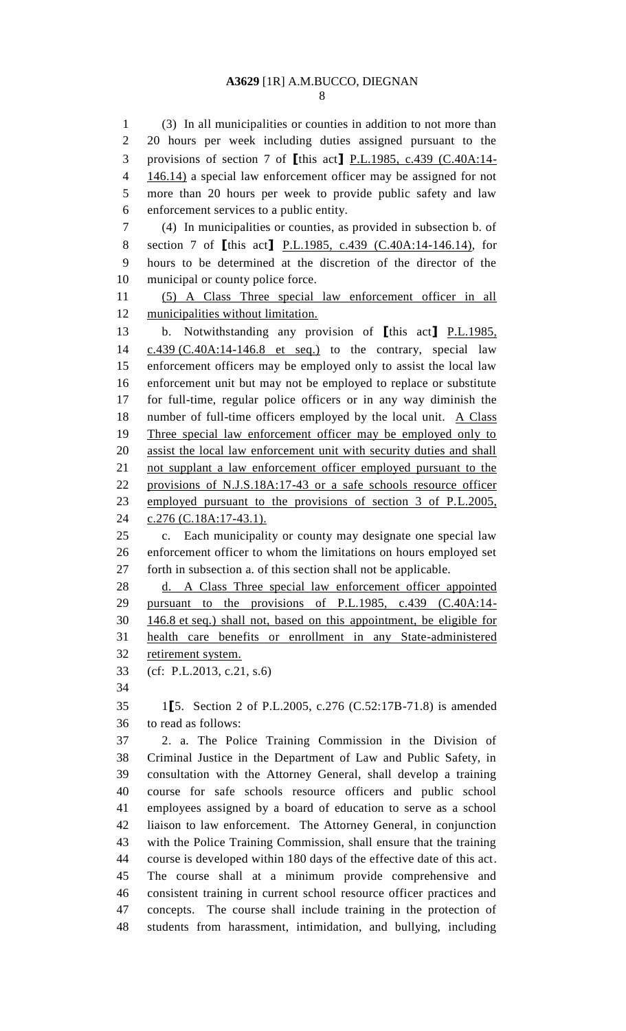(3) In all municipalities or counties in addition to not more than 20 hours per week including duties assigned pursuant to the provisions of section 7 of **[**this act**]** P.L.1985, c.439 (C.40A:14- 146.14) a special law enforcement officer may be assigned for not more than 20 hours per week to provide public safety and law enforcement services to a public entity. (4) In municipalities or counties, as provided in subsection b. of section 7 of **[**this act**]** P.L.1985, c.439 (C.40A:14-146.14), for hours to be determined at the discretion of the director of the municipal or county police force. (5) A Class Three special law enforcement officer in all municipalities without limitation. b. Notwithstanding any provision of **[**this act**]** P.L.1985, c.439 (C.40A:14-146.8 et seq.) to the contrary, special law enforcement officers may be employed only to assist the local law enforcement unit but may not be employed to replace or substitute for full-time, regular police officers or in any way diminish the 18 number of full-time officers employed by the local unit. A Class Three special law enforcement officer may be employed only to 20 assist the local law enforcement unit with security duties and shall not supplant a law enforcement officer employed pursuant to the provisions of N.J.S.18A:17-43 or a safe schools resource officer employed pursuant to the provisions of section 3 of P.L.2005, c.276 (C.18A:17-43.1). c. Each municipality or county may designate one special law enforcement officer to whom the limitations on hours employed set forth in subsection a. of this section shall not be applicable. 28 d. A Class Three special law enforcement officer appointed pursuant to the provisions of P.L.1985, c.439 (C.40A:14- 146.8 et seq.) shall not, based on this appointment, be eligible for health care benefits or enrollment in any State-administered retirement system. (cf: P.L.2013, c.21, s.6) 1**[**5. Section 2 of P.L.2005, c.276 (C.52:17B-71.8) is amended to read as follows: 2. a. The Police Training Commission in the Division of Criminal Justice in the Department of Law and Public Safety, in consultation with the Attorney General, shall develop a training course for safe schools resource officers and public school employees assigned by a board of education to serve as a school liaison to law enforcement. The Attorney General, in conjunction with the Police Training Commission, shall ensure that the training course is developed within 180 days of the effective date of this act. The course shall at a minimum provide comprehensive and consistent training in current school resource officer practices and concepts. The course shall include training in the protection of students from harassment, intimidation, and bullying, including